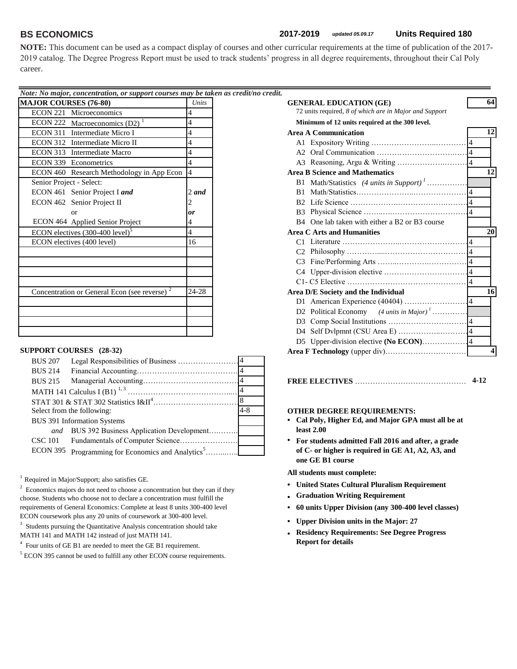**NOTE:** This document can be used as a compact display of courses and other curricular requirements at the time of publication of the 2017- 2019 catalog. The Degree Progress Report must be used to track students' progress in all degree requirements, throughout their Cal Poly career.

| Note: No major, concentration, or support courses may be taken as credit/no credit. |                |                                                        |
|-------------------------------------------------------------------------------------|----------------|--------------------------------------------------------|
| <b>MAJOR COURSES (76-80)</b>                                                        | Units          | <b>GENERAL EDUCATION (GE)</b>                          |
| ECON 221 Microeconomics                                                             |                | 72 units required, 8 of which are in Major and Support |
| ECON 222 Macroeconomics $(D2)^1$                                                    |                | Minimum of 12 units required at the 300 level.         |
| ECON 311 Intermediate Micro I                                                       | $\overline{4}$ | <b>Area A Communication</b>                            |
| ECON 312 Intermediate Micro II                                                      | $\overline{4}$ |                                                        |
| ECON 313 Intermediate Macro                                                         | 4              |                                                        |
| ECON 339 Econometrics                                                               |                |                                                        |
| ECON 460 Research Methodology in App Econ  4                                        |                | <b>Area B Science and Mathematics</b>                  |
| Senior Project - Select:                                                            |                |                                                        |
| ECON 461 Senior Project I and                                                       | $2$ and        | <b>B</b> 1                                             |
| ECON 462 Senior Project II                                                          |                |                                                        |
| <b>or</b>                                                                           | <b>or</b>      |                                                        |
| ECON 464 Applied Senior Project                                                     |                | B4 One lab taken with either a B2 or B3 course         |
| ECON electives $(300-400 \text{ level})^5$                                          |                | <b>Area C Arts and Humanities</b>                      |
| ECON electives (400 level)                                                          | 16             |                                                        |
|                                                                                     |                |                                                        |
|                                                                                     |                |                                                        |
|                                                                                     |                |                                                        |
|                                                                                     |                |                                                        |
| Concentration or General Econ (see reverse) <sup>2</sup>                            | 24-28          | Area D/E Society and the Individual                    |
|                                                                                     |                |                                                        |
|                                                                                     |                | D2 Political Economy $(4 \text{ units in Major})^1$    |
|                                                                                     |                |                                                        |
|                                                                                     |                |                                                        |

## **SUPPORT COURSES** (28-32)

| <b>BUS 207</b> |                                                     |         |             |
|----------------|-----------------------------------------------------|---------|-------------|
| <b>BUS 214</b> |                                                     |         |             |
| <b>BUS 215</b> |                                                     |         |             |
|                |                                                     |         |             |
|                |                                                     |         |             |
|                | Select from the following:                          | $4 - 8$ |             |
|                | <b>BUS 391 Information Systems</b>                  |         |             |
|                | <i>and</i> BUS 392 Business Application Development |         |             |
| CSC 101        |                                                     |         | • For stude |
| ECON 395       |                                                     |         |             |
|                |                                                     |         |             |

 $<sup>1</sup>$  Required in Major/Support; also satisfies GE.</sup>

 $2^2$  Economics majors do not need to choose a concentration but they can if they choose. Students who choose not to declare a concentration must fulfill the requirements of General Economics: Complete at least 8 units 300-400 level ECON coursework plus any 20 units of coursework at 300-400 level.

<sup>3</sup> Students pursuing the Quantitative Analysis concentration should take MATH 141 and MATH 142 instead of just MATH 141.

<sup>4</sup> Four units of GE B1 are needed to meet the GE B1 requirement.

 $<sup>5</sup>$  ECON 395 cannot be used to fulfill any other ECON course requirements.</sup>

| e: No major, concentration, or support courses may be taken as credit/no credit. |                |                                                        |    |
|----------------------------------------------------------------------------------|----------------|--------------------------------------------------------|----|
| JOR COURSES (76-80)                                                              | Units          | <b>GENERAL EDUCATION (GE)</b>                          |    |
| ECON 221 Microeconomics                                                          |                | 72 units required, 8 of which are in Major and Support |    |
| ECON 222 Macroeconomics $(D2)^{1}$                                               |                | Minimum of 12 units required at the 300 level.         |    |
| ECON 311 Intermediate Micro I                                                    |                | <b>Area A Communication</b>                            |    |
| ECON 312 Intermediate Micro II                                                   |                |                                                        |    |
| ECON 313 Intermediate Macro                                                      |                |                                                        |    |
| <b>ECON 339 Econometrics</b>                                                     |                |                                                        |    |
| ECON 460 Research Methodology in App Econ 4                                      |                | <b>Area B Science and Mathematics</b>                  | 12 |
| Senior Project - Select:                                                         |                | B1 Math/Statistics (4 units in Support) <sup>1</sup>   |    |
| ECON 461 Senior Project I and                                                    | 2 and          | B1                                                     |    |
| ECON 462 Senior Project II                                                       |                |                                                        |    |
| or                                                                               | 0r             |                                                        |    |
| ECON 464 Applied Senior Project                                                  |                | B4 One lab taken with either a B2 or B3 course         |    |
| ECON electives $(300-400$ level) <sup>5</sup>                                    | $\overline{4}$ | <b>Area C Arts and Humanities</b>                      | 20 |
| ECON electives (400 level)                                                       | 16             |                                                        |    |
|                                                                                  |                |                                                        |    |
|                                                                                  |                |                                                        |    |
|                                                                                  |                |                                                        |    |
|                                                                                  |                |                                                        |    |
| Concentration or General Econ (see reverse) <sup>2</sup>                         | 24-28          | Area D/E Society and the Individual                    | 16 |
|                                                                                  |                |                                                        |    |
|                                                                                  |                | D2 Political Economy $(4 \text{ units in Major})^1$    |    |
|                                                                                  |                |                                                        |    |
|                                                                                  |                |                                                        |    |
|                                                                                  |                |                                                        |    |
| PPORT COURSES (28-32)                                                            |                |                                                        |    |
|                                                                                  |                |                                                        |    |

BUS 215 Managerial Accounting…………………………………...…4 **FREE ELECTIVES** ……………………………………………**4-12**

# OTHER DEGREE REQUIREMENTS:

- Cal Poly, Higher Ed, and Major GPA must all be at
- **For students admitted Fall 2016 and after, a grade of C- or higher is required in GE A1, A2, A3, and one GE B1 course**

**All students must complete:**

- **• United States Cultural Pluralism Requirement**
- **• Graduation Writing Requirement**
- **• 60 units Upper Division (any 300-400 level classes)**
- **• Upper Division units in the Major: 27**
- **• Residency Requirements: See Degree Progress Report for details**